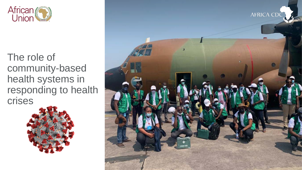

The role of community-based health systems in responding to health crises



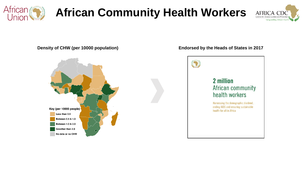

## **African Community Health Workers**





#### **Density of CHW (per 10000 population) Endorsed by the Heads of States in 2017**

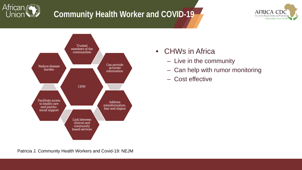

### **Community Health Worker and COVID-19**





- CHWs in Africa
	- Live in the community
	- Can help with rumor monitoring
	- Cost effective

Patricia J. Community Health Workers and Covid-19: NEJM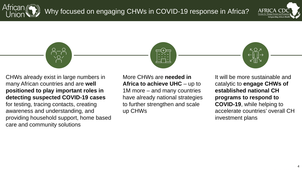







CHWs already exist in large numbers in many African countries and are **well positioned to play important roles in detecting suspected COVID-19 cases**  for testing, tracing contacts, creating awareness and understanding, and providing household support, home based care and community solutions

More CHWs are **needed in Africa to achieve UHC** – up to 1M more – and many countries have already national strategies to further strengthen and scale up CHWs

It will be more sustainable and catalytic to **engage CHWs of established national CH programs to respond to COVID-19**, while helping to accelerate countries' overall CH investment plans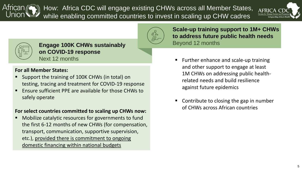African How: Africa CDC will engage existing CHWs across all Member States, while enabling committed countries to invest in scaling up CHW cadres





**Engage 100K CHWs sustainably Engage 100K CHWs sustainably on COVID-19 response** Next 12 months

#### **For all Member States:**

- **Support the training of 100K CHWs (in total) on** testing, tracing and treatment for COVID-19 response
- Ensure sufficient PPE are available for those CHWs to safely operate

#### **For select countries committed to scaling up CHWs now:**

 Mobilize catalytic resources for governments to fund the first 6-12 months of new CHWs (for compensation, transport, communication, supportive supervision, etc.), provided there is commitment to ongoing domestic financing within national budgets

**Scale-up training support to 1M+ CHWs to address future public health needs**

- **Further enhance and scale-up training** and other support to engage at least 1M CHWs on addressing public healthrelated needs and build resilience against future epidemics
- Contribute to closing the gap in number of CHWs across African countries